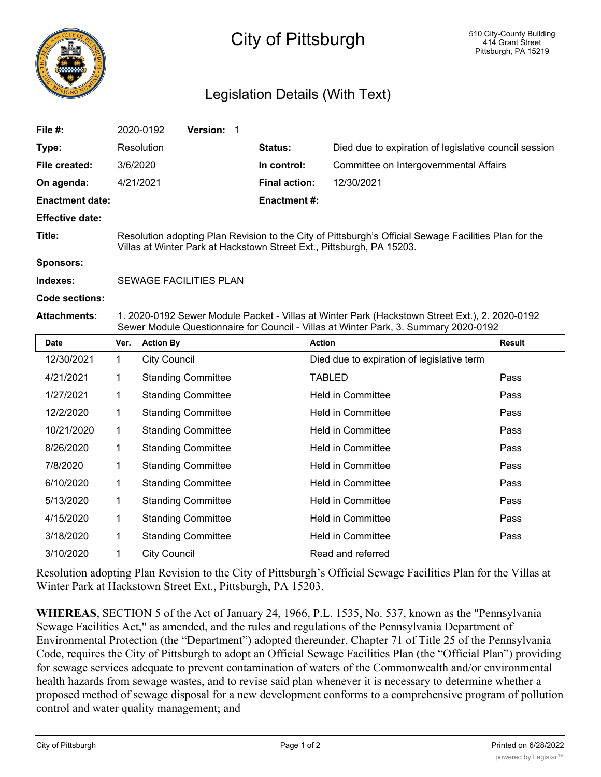

## City of Pittsburgh

## Legislation Details (With Text)

| File #:                |                                                                                                                                                                                        | 2020-0192                 | Version: 1                |  |                          |                                            |                                                       |
|------------------------|----------------------------------------------------------------------------------------------------------------------------------------------------------------------------------------|---------------------------|---------------------------|--|--------------------------|--------------------------------------------|-------------------------------------------------------|
| Type:                  |                                                                                                                                                                                        | Resolution                |                           |  | Status:                  |                                            | Died due to expiration of legislative council session |
| File created:          | 3/6/2020                                                                                                                                                                               |                           |                           |  | In control:              | Committee on Intergovernmental Affairs     |                                                       |
| On agenda:             | 4/21/2021                                                                                                                                                                              |                           |                           |  | <b>Final action:</b>     | 12/30/2021                                 |                                                       |
| <b>Enactment date:</b> |                                                                                                                                                                                        |                           |                           |  | <b>Enactment#:</b>       |                                            |                                                       |
| <b>Effective date:</b> |                                                                                                                                                                                        |                           |                           |  |                          |                                            |                                                       |
| Title:                 | Resolution adopting Plan Revision to the City of Pittsburgh's Official Sewage Facilities Plan for the<br>Villas at Winter Park at Hackstown Street Ext., Pittsburgh, PA 15203.         |                           |                           |  |                          |                                            |                                                       |
| <b>Sponsors:</b>       |                                                                                                                                                                                        |                           |                           |  |                          |                                            |                                                       |
| Indexes:               | <b>SEWAGE FACILITIES PLAN</b>                                                                                                                                                          |                           |                           |  |                          |                                            |                                                       |
| Code sections:         |                                                                                                                                                                                        |                           |                           |  |                          |                                            |                                                       |
| <b>Attachments:</b>    | 1. 2020-0192 Sewer Module Packet - Villas at Winter Park (Hackstown Street Ext.), 2. 2020-0192<br>Sewer Module Questionnaire for Council - Villas at Winter Park, 3. Summary 2020-0192 |                           |                           |  |                          |                                            |                                                       |
| <b>Date</b>            | Ver.                                                                                                                                                                                   | <b>Action By</b>          |                           |  |                          | <b>Action</b>                              | <b>Result</b>                                         |
| 12/30/2021             | $\mathbf{1}$                                                                                                                                                                           | <b>City Council</b>       |                           |  |                          | Died due to expiration of legislative term |                                                       |
| 4/21/2021              | 1                                                                                                                                                                                      | <b>Standing Committee</b> |                           |  |                          | <b>TABLED</b>                              | Pass                                                  |
| 1/27/2021              | 1                                                                                                                                                                                      | <b>Standing Committee</b> |                           |  |                          | <b>Held in Committee</b>                   | Pass                                                  |
| 12/2/2020              | 1                                                                                                                                                                                      | <b>Standing Committee</b> |                           |  |                          | <b>Held in Committee</b>                   | Pass                                                  |
| 10/21/2020             | 1                                                                                                                                                                                      | <b>Standing Committee</b> |                           |  |                          | Held in Committee                          | Pass                                                  |
| 8/26/2020              | 1                                                                                                                                                                                      | <b>Standing Committee</b> |                           |  |                          | <b>Held in Committee</b>                   | Pass                                                  |
| 7/8/2020               | 1                                                                                                                                                                                      | <b>Standing Committee</b> |                           |  | Held in Committee        |                                            | Pass                                                  |
| 6/10/2020              | 1                                                                                                                                                                                      | <b>Standing Committee</b> |                           |  | <b>Held in Committee</b> |                                            | Pass                                                  |
| 5/13/2020              | 1                                                                                                                                                                                      | <b>Standing Committee</b> |                           |  |                          | <b>Held in Committee</b>                   | Pass                                                  |
| 4/15/2020              | 1                                                                                                                                                                                      |                           | <b>Standing Committee</b> |  |                          | <b>Held in Committee</b>                   | Pass                                                  |
| 3/18/2020              | 1                                                                                                                                                                                      |                           | <b>Standing Committee</b> |  |                          | <b>Held in Committee</b>                   | Pass                                                  |
| 3/10/2020              | 1                                                                                                                                                                                      | <b>City Council</b>       |                           |  |                          | Read and referred                          |                                                       |

Resolution adopting Plan Revision to the City of Pittsburgh's Official Sewage Facilities Plan for the Villas at Winter Park at Hackstown Street Ext., Pittsburgh, PA 15203.

**WHEREAS**, SECTION 5 of the Act of January 24, 1966, P.L. 1535, No. 537, known as the "Pennsylvania Sewage Facilities Act," as amended, and the rules and regulations of the Pennsylvania Department of Environmental Protection (the "Department") adopted thereunder, Chapter 71 of Title 25 of the Pennsylvania Code, requires the City of Pittsburgh to adopt an Official Sewage Facilities Plan (the "Official Plan") providing for sewage services adequate to prevent contamination of waters of the Commonwealth and/or environmental health hazards from sewage wastes, and to revise said plan whenever it is necessary to determine whether a proposed method of sewage disposal for a new development conforms to a comprehensive program of pollution control and water quality management; and